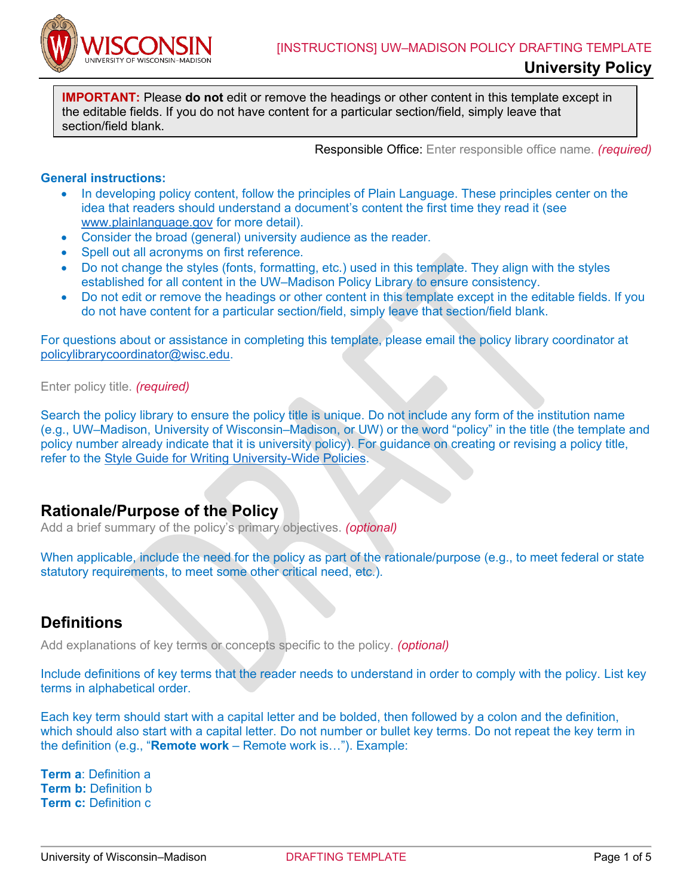

**IMPORTANT:** Please **do not** edit or remove the headings or other content in this template except in the editable fields. If you do not have content for a particular section/field, simply leave that section/field blank.

Responsible Office: Enter responsible office name. *(required)*

#### **General instructions:**

- In developing policy content, follow the principles of Plain Language. These principles center on the idea that readers should understand a document's content the first time they read it (see [www.plainlanguage.gov](http://www.plainlanguage.gov/) for more detail).
- Consider the broad (general) university audience as the reader.
- Spell out all acronyms on first reference.
- Do not change the styles (fonts, formatting, etc.) used in this template. They align with the styles established for all content in the UW–Madison Policy Library to ensure consistency.
- Do not edit or remove the headings or other content in this template except in the editable fields. If you do not have content for a particular section/field, simply leave that section/field blank.

For questions about or assistance in completing this template, please email the policy library coordinator at [policylibrarycoordinator@wisc.edu.](mailto:policylibrarycoordinator@wisc.edu)

Enter policy title. *(required)*

Search the policy library to ensure the policy title is unique. Do not include any form of the institution name (e.g., UW–Madison, University of Wisconsin–Madison, or UW) or the word "policy" in the title (the template and policy number already indicate that it is university policy). For guidance on creating or revising a policy title, refer to the [Style Guide for Writing University-Wide Policies.](https://development.policy.wisc.edu/style-guide-for-writing-university-wide-policies/)

### **Rationale/Purpose of the Policy**

Add a brief summary of the policy's primary objectives. *(optional)*

When applicable, include the need for the policy as part of the rationale/purpose (e.g., to meet federal or state statutory requirements, to meet some other critical need, etc.).

## **Definitions**

Add explanations of key terms or concepts specific to the policy. *(optional)*

Include definitions of key terms that the reader needs to understand in order to comply with the policy. List key terms in alphabetical order.

Each key term should start with a capital letter and be bolded, then followed by a colon and the definition, which should also start with a capital letter. Do not number or bullet key terms. Do not repeat the key term in the definition (e.g., "**Remote work** – Remote work is…"). Example:

**Term a**: Definition a **Term b:** Definition b **Term c:** Definition c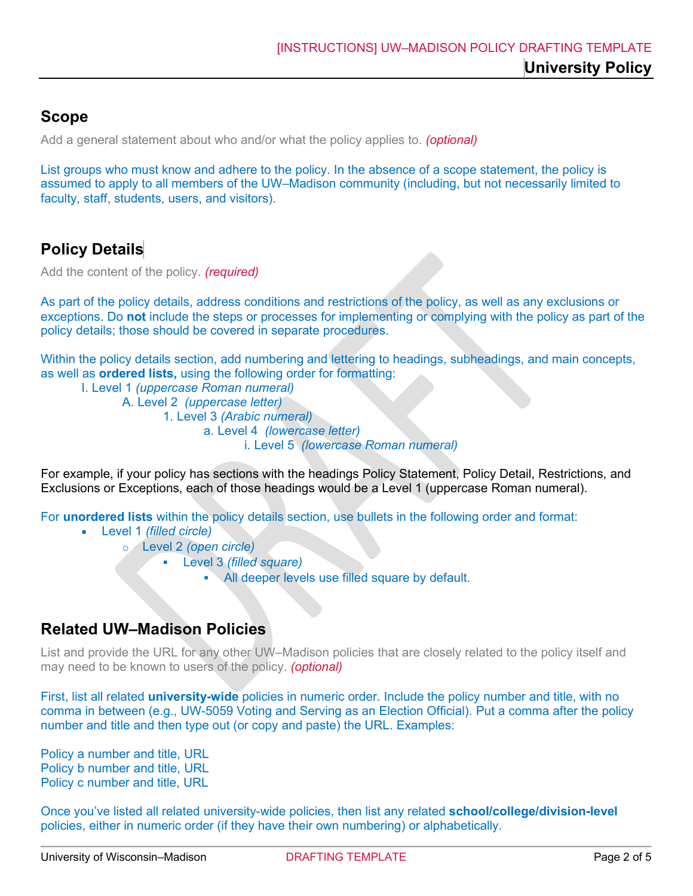# **Scope**

Add a general statement about who and/or what the policy applies to. *(optional)*

List groups who must know and adhere to the policy. In the absence of a scope statement, the policy is assumed to apply to all members of the UW–Madison community (including, but not necessarily limited to faculty, staff, students, users, and visitors).

# **Policy Details**

Add the content of the policy. *(required)*

As part of the policy details, address conditions and restrictions of the policy, as well as any exclusions or exceptions. Do **not** include the steps or processes for implementing or complying with the policy as part of the policy details; those should be covered in separate procedures.

Within the policy details section, add numbering and lettering to headings, subheadings, and main concepts, as well as **ordered lists,** using the following order for formatting:

I. Level 1 *(uppercase Roman numeral)* A. Level 2 *(uppercase letter)* 1. Level 3 *(Arabic numeral)*  a. Level 4 *(lowercase letter)* i. Level 5 *(lowercase Roman numeral)*

For example, if your policy has sections with the headings Policy Statement, Policy Detail, Restrictions, and Exclusions or Exceptions, each of those headings would be a Level 1 (uppercase Roman numeral).

For **unordered lists** within the policy details section, use bullets in the following order and format:

- Level 1 *(filled circle)*
	- o Level 2 *(open circle)*
		- Level 3 *(filled square)*
			- All deeper levels use filled square by default.

## **Related UW–Madison Policies**

List and provide the URL for any other UW–Madison policies that are closely related to the policy itself and may need to be known to users of the policy. *(optional)*

First, list all related **university-wide** policies in numeric order. Include the policy number and title, with no comma in between (e.g., UW-5059 Voting and Serving as an Election Official). Put a comma after the policy number and title and then type out (or copy and paste) the URL. Examples:

Policy a number and title, URL Policy b number and title, URL Policy c number and title, URL

Once you've listed all related university-wide policies, then list any related **school/college/division-level** policies, either in numeric order (if they have their own numbering) or alphabetically.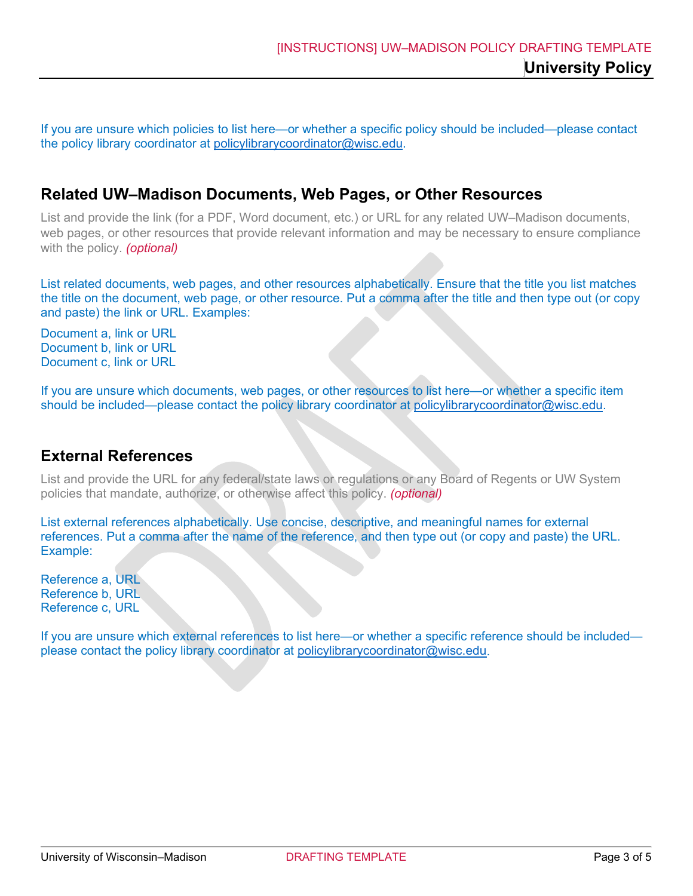If you are unsure which policies to list here—or whether a specific policy should be included—please contact the policy library coordinator at [policylibrarycoordinator@wisc.edu.](mailto:policylibrarycoordinator@wisc.edu)

## **Related UW–Madison Documents, Web Pages, or Other Resources**

List and provide the link (for a PDF, Word document, etc.) or URL for any related UW–Madison documents, web pages, or other resources that provide relevant information and may be necessary to ensure compliance with the policy. *(optional)*

List related documents, web pages, and other resources alphabetically. Ensure that the title you list matches the title on the document, web page, or other resource. Put a comma after the title and then type out (or copy and paste) the link or URL. Examples:

Document a, link or URL Document b, link or URL Document c, link or URL

If you are unsure which documents, web pages, or other resources to list here—or whether a specific item should be included—please contact the policy library coordinator at [policylibrarycoordinator@wisc.edu.](mailto:policylibrarycoordinator@wisc.edu)

## **External References**

List and provide the URL for any federal/state laws or regulations or any Board of Regents or UW System policies that mandate, authorize, or otherwise affect this policy. *(optional)*

List external references alphabetically. Use concise, descriptive, and meaningful names for external references. Put a comma after the name of the reference, and then type out (or copy and paste) the URL. Example:

Reference a, URL Reference b, URL Reference c, URL

If you are unsure which external references to list here—or whether a specific reference should be included please contact the policy library coordinator at [policylibrarycoordinator@wisc.edu.](mailto:policylibrarycoordinator@wisc.edu)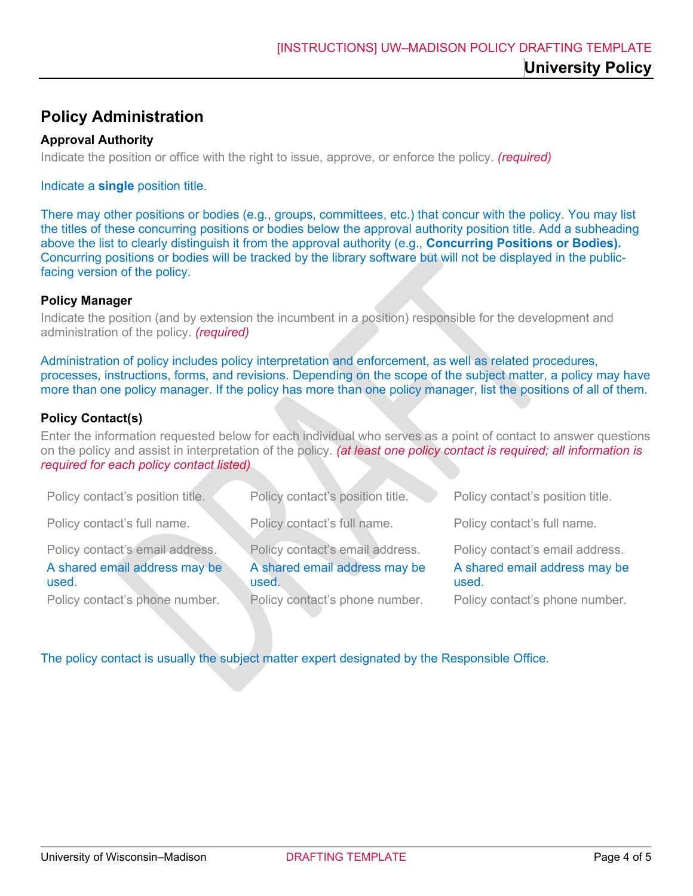# **Policy Administration**

### **Approval Authority**

Indicate the position or office with the right to issue, approve, or enforce the policy. *(required)*

#### Indicate a **single** position title.

There may other positions or bodies (e.g., groups, committees, etc.) that concur with the policy. You may list the titles of these concurring positions or bodies below the approval authority position title. Add a subheading above the list to clearly distinguish it from the approval authority (e.g., **Concurring Positions or Bodies).**  Concurring positions or bodies will be tracked by the library software but will not be displayed in the publicfacing version of the policy.

#### **Policy Manager**

Indicate the position (and by extension the incumbent in a position) responsible for the development and administration of the policy. *(required)*

Administration of policy includes policy interpretation and enforcement, as well as related procedures, processes, instructions, forms, and revisions. Depending on the scope of the subject matter, a policy may have more than one policy manager. If the policy has more than one policy manager, list the positions of all of them.

### **Policy Contact(s)**

Enter the information requested below for each individual who serves as a point of contact to answer questions on the policy and assist in interpretation of the policy. *(at least one policy contact is required; all information is required for each policy contact listed)*

| Policy contact's position title.                                                                            | Policy contact's position title.                                                                            | Policy contact's position title.                                                                            |
|-------------------------------------------------------------------------------------------------------------|-------------------------------------------------------------------------------------------------------------|-------------------------------------------------------------------------------------------------------------|
| Policy contact's full name.                                                                                 | Policy contact's full name.                                                                                 | Policy contact's full name.                                                                                 |
| Policy contact's email address.<br>A shared email address may be<br>used.<br>Policy contact's phone number. | Policy contact's email address.<br>A shared email address may be<br>used.<br>Policy contact's phone number. | Policy contact's email address.<br>A shared email address may be<br>used.<br>Policy contact's phone number. |

The policy contact is usually the subject matter expert designated by the Responsible Office.